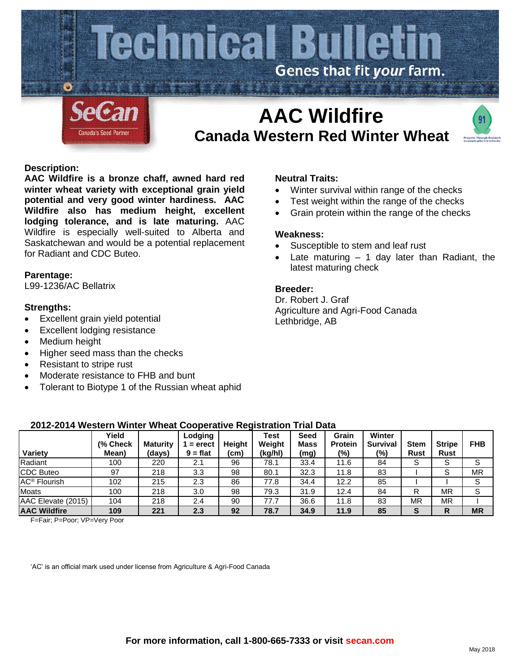

# **Canada Western Red Winter Wheat**



## **Description:**

**AAC Wildfire is a bronze chaff, awned hard red winter wheat variety with exceptional grain yield potential and very good winter hardiness. AAC Wildfire also has medium height, excellent lodging tolerance, and is late maturing.** AAC Wildfire is especially well-suited to Alberta and Saskatchewan and would be a potential replacement for Radiant and CDC Buteo.

## **Parentage:**

L99-1236/AC Bellatrix

## **Strengths:**

- Excellent grain yield potential
- Excellent lodging resistance
- Medium height
- Higher seed mass than the checks
- Resistant to stripe rust
- Moderate resistance to FHB and bunt
- Tolerant to Biotype 1 of the Russian wheat aphid

**2012-2014 Western Winter Wheat Cooperative Registration Trial Data**

## **Neutral Traits:**

- Winter survival within range of the checks
- Test weight within the range of the checks
- Grain protein within the range of the checks

#### **Weakness:**

- Susceptible to stem and leaf rust
- Late maturing  $-1$  day later than Radiant, the latest maturing check

## **Breeder:**

Dr. Robert J. Graf Agriculture and Agri-Food Canada Lethbridge, AB

| Variety                        | Yield<br>(% Check<br>Mean) | <b>Maturity</b><br>(days) | Lodging<br>$=$ erect<br>$9 = flat$ | Height<br>(cm) | <b>Test</b><br>Weight<br>(kg/hl) | Seed<br><b>Mass</b><br>(mg) | Grain<br><b>Protein</b><br>(%) | Winter<br><b>Survival</b><br>(%) | <b>Stem</b><br><b>Rust</b> | <b>Stripe</b><br><b>Rust</b> | <b>FHB</b> |
|--------------------------------|----------------------------|---------------------------|------------------------------------|----------------|----------------------------------|-----------------------------|--------------------------------|----------------------------------|----------------------------|------------------------------|------------|
| Radiant                        | 100                        | 220                       | 2.1                                | 96             | 78.1                             | 33.4                        | 11.6                           | 84                               | S                          | S                            | S          |
| <b>CDC Buteo</b>               | 97                         | 218                       | 3.3                                | 98             | 80.1                             | 32.3                        | 11.8                           | 83                               |                            | S                            | MR         |
| <b>AC<sup>®</sup></b> Flourish | 102                        | 215                       | 2.3                                | 86             | 77.8                             | 34.4                        | 12.2                           | 85                               |                            |                              |            |
| <b>Moats</b>                   | 100                        | 218                       | 3.0                                | 98             | 79.3                             | 31.9                        | 12.4                           | 84                               | R                          | ΜR                           | S          |
| AAC Elevate (2015)             | 104                        | 218                       | 2.4                                | 90             | 77.7                             | 36.6                        | 11.8                           | 83                               | ΜR                         | MR                           |            |
| <b>AAC Wildfire</b>            | 109                        | 221                       | 2.3                                | 92             | 78.7                             | 34.9                        | 11.9                           | 85                               | S                          | R                            | <b>MR</b>  |

F=Fair; P=Poor; VP=Very Poor

'AC' is an official mark used under license from Agriculture & Agri-Food Canada